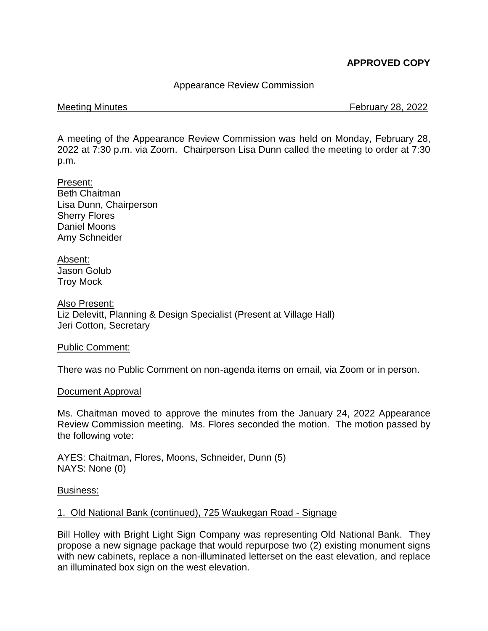# **APPROVED COPY**

## Appearance Review Commission

Meeting Minutes February 28, 2022

A meeting of the Appearance Review Commission was held on Monday, February 28, 2022 at 7:30 p.m. via Zoom. Chairperson Lisa Dunn called the meeting to order at 7:30 p.m.

Present: Beth Chaitman Lisa Dunn, Chairperson Sherry Flores Daniel Moons Amy Schneider

Absent: Jason Golub Troy Mock

Also Present: Liz Delevitt, Planning & Design Specialist (Present at Village Hall) Jeri Cotton, Secretary

Public Comment:

There was no Public Comment on non-agenda items on email, via Zoom or in person.

#### Document Approval

Ms. Chaitman moved to approve the minutes from the January 24, 2022 Appearance Review Commission meeting. Ms. Flores seconded the motion. The motion passed by the following vote:

AYES: Chaitman, Flores, Moons, Schneider, Dunn (5) NAYS: None (0)

## Business:

#### 1. Old National Bank (continued), 725 Waukegan Road - Signage

Bill Holley with Bright Light Sign Company was representing Old National Bank. They propose a new signage package that would repurpose two (2) existing monument signs with new cabinets, replace a non-illuminated letterset on the east elevation, and replace an illuminated box sign on the west elevation.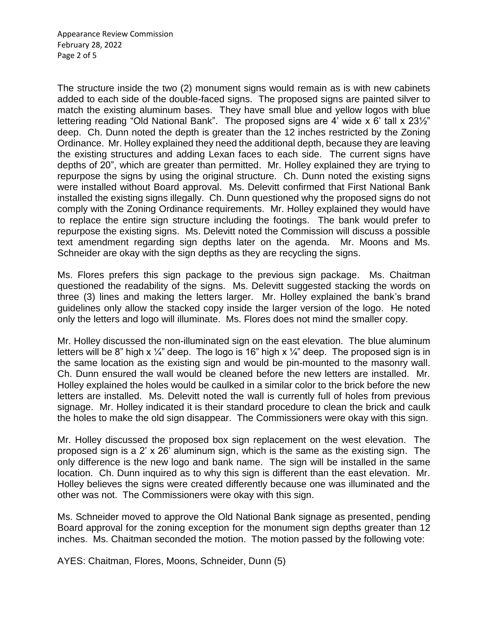The structure inside the two (2) monument signs would remain as is with new cabinets added to each side of the double-faced signs. The proposed signs are painted silver to match the existing aluminum bases. They have small blue and yellow logos with blue lettering reading "Old National Bank". The proposed signs are 4' wide x 6' tall x 231/2" deep. Ch. Dunn noted the depth is greater than the 12 inches restricted by the Zoning Ordinance. Mr. Holley explained they need the additional depth, because they are leaving the existing structures and adding Lexan faces to each side. The current signs have depths of 20", which are greater than permitted. Mr. Holley explained they are trying to repurpose the signs by using the original structure. Ch. Dunn noted the existing signs were installed without Board approval. Ms. Delevitt confirmed that First National Bank installed the existing signs illegally. Ch. Dunn questioned why the proposed signs do not comply with the Zoning Ordinance requirements. Mr. Holley explained they would have to replace the entire sign structure including the footings. The bank would prefer to repurpose the existing signs. Ms. Delevitt noted the Commission will discuss a possible text amendment regarding sign depths later on the agenda. Mr. Moons and Ms. Schneider are okay with the sign depths as they are recycling the signs.

Ms. Flores prefers this sign package to the previous sign package. Ms. Chaitman questioned the readability of the signs. Ms. Delevitt suggested stacking the words on three (3) lines and making the letters larger. Mr. Holley explained the bank's brand guidelines only allow the stacked copy inside the larger version of the logo. He noted only the letters and logo will illuminate. Ms. Flores does not mind the smaller copy.

Mr. Holley discussed the non-illuminated sign on the east elevation. The blue aluminum letters will be 8" high x  $\frac{1}{4}$ " deep. The logo is 16" high x  $\frac{1}{4}$ " deep. The proposed sign is in the same location as the existing sign and would be pin-mounted to the masonry wall. Ch. Dunn ensured the wall would be cleaned before the new letters are installed. Mr. Holley explained the holes would be caulked in a similar color to the brick before the new letters are installed. Ms. Delevitt noted the wall is currently full of holes from previous signage. Mr. Holley indicated it is their standard procedure to clean the brick and caulk the holes to make the old sign disappear. The Commissioners were okay with this sign.

Mr. Holley discussed the proposed box sign replacement on the west elevation. The proposed sign is a 2' x 26' aluminum sign, which is the same as the existing sign. The only difference is the new logo and bank name. The sign will be installed in the same location. Ch. Dunn inquired as to why this sign is different than the east elevation. Mr. Holley believes the signs were created differently because one was illuminated and the other was not. The Commissioners were okay with this sign.

Ms. Schneider moved to approve the Old National Bank signage as presented, pending Board approval for the zoning exception for the monument sign depths greater than 12 inches. Ms. Chaitman seconded the motion. The motion passed by the following vote:

AYES: Chaitman, Flores, Moons, Schneider, Dunn (5)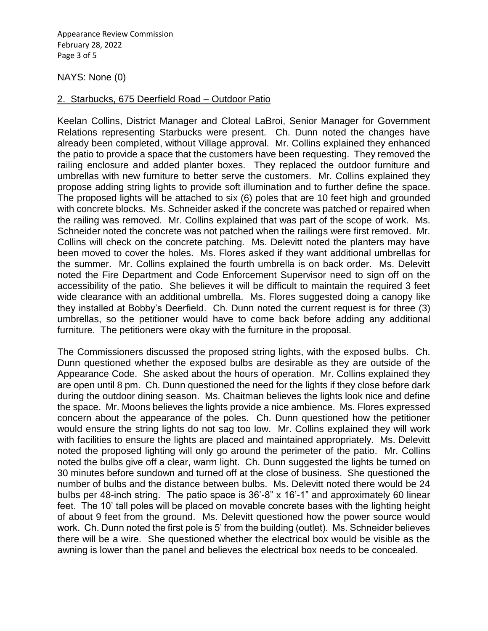Appearance Review Commission February 28, 2022 Page 3 of 5

#### NAYS: None (0)

#### 2. Starbucks, 675 Deerfield Road – Outdoor Patio

Keelan Collins, District Manager and Cloteal LaBroi, Senior Manager for Government Relations representing Starbucks were present. Ch. Dunn noted the changes have already been completed, without Village approval. Mr. Collins explained they enhanced the patio to provide a space that the customers have been requesting. They removed the railing enclosure and added planter boxes. They replaced the outdoor furniture and umbrellas with new furniture to better serve the customers. Mr. Collins explained they propose adding string lights to provide soft illumination and to further define the space. The proposed lights will be attached to six (6) poles that are 10 feet high and grounded with concrete blocks. Ms. Schneider asked if the concrete was patched or repaired when the railing was removed. Mr. Collins explained that was part of the scope of work. Ms. Schneider noted the concrete was not patched when the railings were first removed. Mr. Collins will check on the concrete patching. Ms. Delevitt noted the planters may have been moved to cover the holes. Ms. Flores asked if they want additional umbrellas for the summer. Mr. Collins explained the fourth umbrella is on back order. Ms. Delevitt noted the Fire Department and Code Enforcement Supervisor need to sign off on the accessibility of the patio. She believes it will be difficult to maintain the required 3 feet wide clearance with an additional umbrella. Ms. Flores suggested doing a canopy like they installed at Bobby's Deerfield. Ch. Dunn noted the current request is for three (3) umbrellas, so the petitioner would have to come back before adding any additional furniture. The petitioners were okay with the furniture in the proposal.

The Commissioners discussed the proposed string lights, with the exposed bulbs. Ch. Dunn questioned whether the exposed bulbs are desirable as they are outside of the Appearance Code. She asked about the hours of operation. Mr. Collins explained they are open until 8 pm. Ch. Dunn questioned the need for the lights if they close before dark during the outdoor dining season. Ms. Chaitman believes the lights look nice and define the space. Mr. Moons believes the lights provide a nice ambience. Ms. Flores expressed concern about the appearance of the poles. Ch. Dunn questioned how the petitioner would ensure the string lights do not sag too low. Mr. Collins explained they will work with facilities to ensure the lights are placed and maintained appropriately. Ms. Delevitt noted the proposed lighting will only go around the perimeter of the patio. Mr. Collins noted the bulbs give off a clear, warm light. Ch. Dunn suggested the lights be turned on 30 minutes before sundown and turned off at the close of business. She questioned the number of bulbs and the distance between bulbs. Ms. Delevitt noted there would be 24 bulbs per 48-inch string. The patio space is 36'-8" x 16'-1" and approximately 60 linear feet. The 10' tall poles will be placed on movable concrete bases with the lighting height of about 9 feet from the ground. Ms. Delevitt questioned how the power source would work. Ch. Dunn noted the first pole is 5' from the building (outlet). Ms. Schneider believes there will be a wire. She questioned whether the electrical box would be visible as the awning is lower than the panel and believes the electrical box needs to be concealed.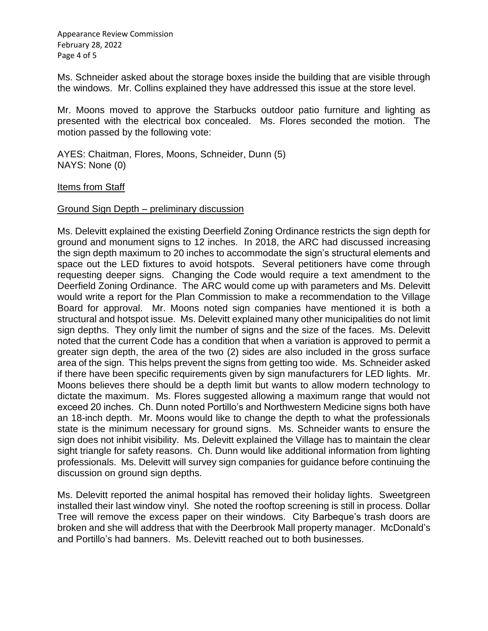Appearance Review Commission February 28, 2022 Page 4 of 5

Ms. Schneider asked about the storage boxes inside the building that are visible through the windows. Mr. Collins explained they have addressed this issue at the store level.

Mr. Moons moved to approve the Starbucks outdoor patio furniture and lighting as presented with the electrical box concealed. Ms. Flores seconded the motion. The motion passed by the following vote:

AYES: Chaitman, Flores, Moons, Schneider, Dunn (5) NAYS: None (0)

**Items from Staff** 

#### Ground Sign Depth – preliminary discussion

Ms. Delevitt explained the existing Deerfield Zoning Ordinance restricts the sign depth for ground and monument signs to 12 inches. In 2018, the ARC had discussed increasing the sign depth maximum to 20 inches to accommodate the sign's structural elements and space out the LED fixtures to avoid hotspots. Several petitioners have come through requesting deeper signs. Changing the Code would require a text amendment to the Deerfield Zoning Ordinance. The ARC would come up with parameters and Ms. Delevitt would write a report for the Plan Commission to make a recommendation to the Village Board for approval. Mr. Moons noted sign companies have mentioned it is both a structural and hotspot issue. Ms. Delevitt explained many other municipalities do not limit sign depths. They only limit the number of signs and the size of the faces. Ms. Delevitt noted that the current Code has a condition that when a variation is approved to permit a greater sign depth, the area of the two (2) sides are also included in the gross surface area of the sign. This helps prevent the signs from getting too wide. Ms. Schneider asked if there have been specific requirements given by sign manufacturers for LED lights. Mr. Moons believes there should be a depth limit but wants to allow modern technology to dictate the maximum. Ms. Flores suggested allowing a maximum range that would not exceed 20 inches. Ch. Dunn noted Portillo's and Northwestern Medicine signs both have an 18-inch depth. Mr. Moons would like to change the depth to what the professionals state is the minimum necessary for ground signs. Ms. Schneider wants to ensure the sign does not inhibit visibility. Ms. Delevitt explained the Village has to maintain the clear sight triangle for safety reasons. Ch. Dunn would like additional information from lighting professionals. Ms. Delevitt will survey sign companies for guidance before continuing the discussion on ground sign depths.

Ms. Delevitt reported the animal hospital has removed their holiday lights. Sweetgreen installed their last window vinyl. She noted the rooftop screening is still in process. Dollar Tree will remove the excess paper on their windows. City Barbeque's trash doors are broken and she will address that with the Deerbrook Mall property manager. McDonald's and Portillo's had banners. Ms. Delevitt reached out to both businesses.